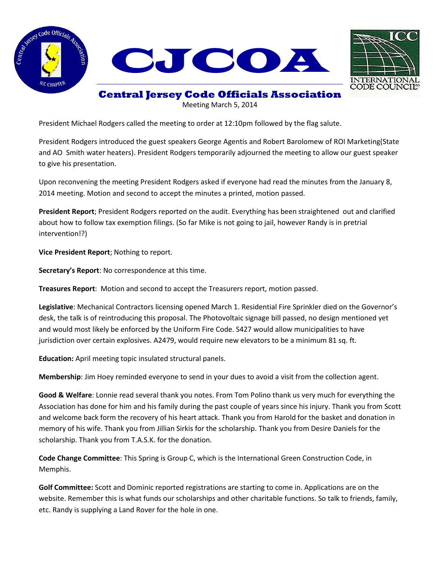



## **Central Jersey Code Officials Association**

Meeting March 5, 2014

President Michael Rodgers called the meeting to order at 12:10pm followed by the flag salute.

President Rodgers introduced the guest speakers George Agentis and Robert Barolomew of ROI Marketing(State and AO Smith water heaters). President Rodgers temporarily adjourned the meeting to allow our guest speaker to give his presentation.

Upon reconvening the meeting President Rodgers asked if everyone had read the minutes from the January 8, 2014 meeting. Motion and second to accept the minutes a printed, motion passed.

**President Report**; President Rodgers reported on the audit. Everything has been straightened out and clarified about how to follow tax exemption filings. (So far Mike is not going to jail, however Randy is in pretrial intervention!?)

**Vice President Report**; Nothing to report.

**Secretary's Report**: No correspondence at this time.

**Treasures Report**: Motion and second to accept the Treasurers report, motion passed.

**Legislative**: Mechanical Contractors licensing opened March 1. Residential Fire Sprinkler died on the Governor's desk, the talk is of reintroducing this proposal. The Photovoltaic signage bill passed, no design mentioned yet and would most likely be enforced by the Uniform Fire Code. S427 would allow municipalities to have jurisdiction over certain explosives. A2479, would require new elevators to be a minimum 81 sq. ft.

**Education:** April meeting topic insulated structural panels.

**Membership**: Jim Hoey reminded everyone to send in your dues to avoid a visit from the collection agent.

**Good & Welfare**: Lonnie read several thank you notes. From Tom Polino thank us very much for everything the Association has done for him and his family during the past couple of years since his injury. Thank you from Scott and welcome back form the recovery of his heart attack. Thank you from Harold for the basket and donation in memory of his wife. Thank you from Jillian Sirkis for the scholarship. Thank you from Desire Daniels for the scholarship. Thank you from T.A.S.K. for the donation.

**Code Change Committee**: This Spring is Group C, which is the International Green Construction Code, in Memphis.

**Golf Committee:** Scott and Dominic reported registrations are starting to come in. Applications are on the website. Remember this is what funds our scholarships and other charitable functions. So talk to friends, family, etc. Randy is supplying a Land Rover for the hole in one.